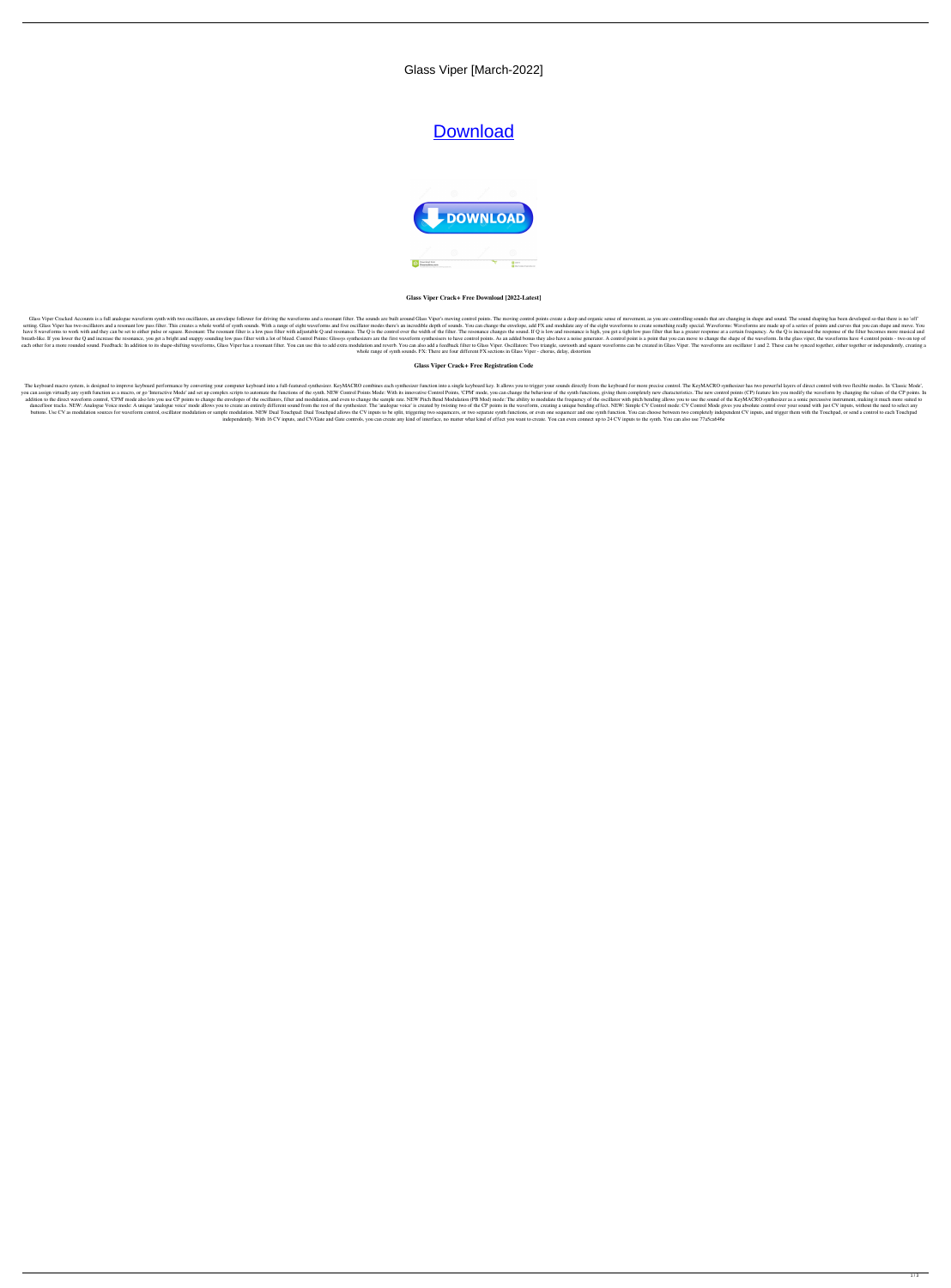## Glass Viper [March-2022]

# **[Download](http://evacdir.com/R2xhc3MgVmlwZXIR2x/aprroximately/daycares/bolstering/rollin/keyword.ZG93bmxvYWR8dXAxTVhocmNYeDhNVFkxTkRVeU1qRXhNSHg4TWpVNU1IeDhLRTBwSUZkdmNtUndjbVZ6Y3lCYldFMU1VbEJESUZZeUlGQkVSbDA?listens=photocells.)**



#### **Glass Viper Crack+ Free Download [2022-Latest]**

Glass Viper Cracked Accounts is a full analogue waveform synth with two oscillators, an envelope follower for driving the waveforms and a resonant filter. The sounds are built around Glass Viper's moving control points. Th setting. Glass Viper has two oscillators and a resonant low pass filter. This creates a whole world of synth sounds. With a range of eight waveforms and five oscillator modes there's an incredible depth of sounds. You can have 8 waveforms to work with and they can be set to either pulse or square. Resonant: The resonant filter is a low pass filter with adjustable Q and resonance. The Q is the control over the width of the filter. The resona breath-like. If you lower the Q and increase the resonance, you get a bright and snappy sounding low pass filter with a lot of bleed. Control Points: Glossys synthesizers are the first waveform synthesizers to have a noise each other for a more rounded sound. Feedback: In addition to its shape-shifting waveforms, Glass Viper has a resonant filter. You can use this to add extra modulation and reverb. You can also add a feedback filter to Glas whole range of synth sounds. FX: There are four different FX sections in Glass Viper - chorus, delay, distortion

#### **Glass Viper Crack+ Free Registration Code**

The keyboard macro system, is designed to improve keyboard performance by converting your computer keyboard into a full-featured synthesizer. KeyMACRO combines each synthesizer function into a single keyboard for more prec you can assign virtually any synth function as a macro, or go 'Interactive Mode' and set up complex scripts to automate the functions of the synth. NEW Control Points Mode: With its innovative Control Points, 'CPM' mode, y addition to the direct waveform control, 'CPM' mode also lets you use CP points to change the envelopes of the oscillators, filter and modulation, and even to change the sample rate. NEW Pitch Bend Modulation (PB Mod) mode dancefloor tracks. NEW: Analogue Voice mode: A unique 'analogue voice' mode allows you to create an entirely different sound from the rest of the synthesizer. The 'analogue voice' is created by twisting two of the CP point buttons. Use CV as modulation sources for waveform control, oscillator modulation or sample modulation. NEW Dual Touchpad: Dual Touchpad: Dual Touchpad allows the CV inputs to be split, triggering two sequencers, or two se independently. With 16 CV inputs, and CV/Gate and Gate controls, you can create any kind of interface, no matter what kind of effect you want to create. You can even connect up to 24 CV inputs to the synth. You can also us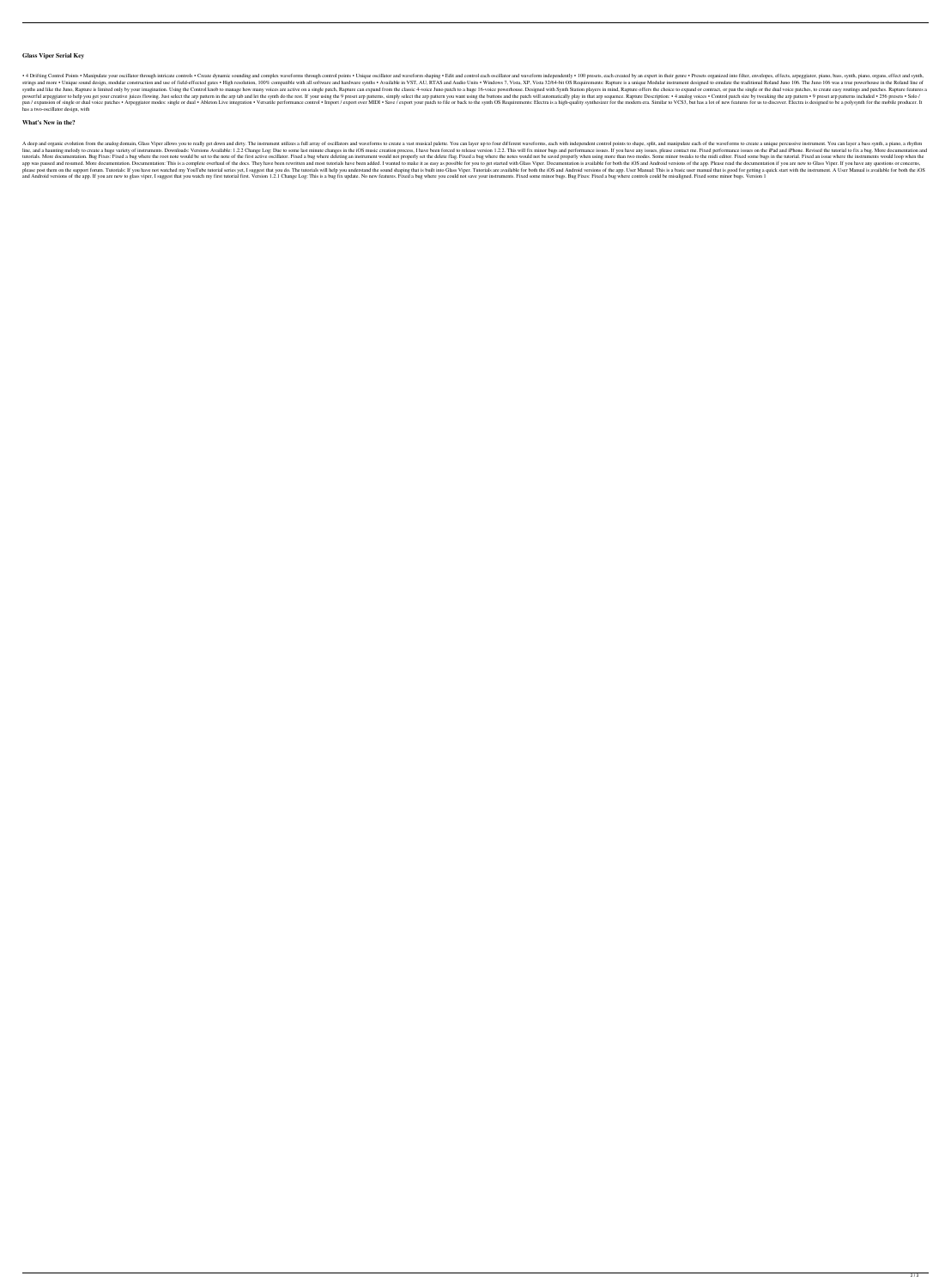#### **Glass Viper Serial Key**

• 4 Drifting Control Points • Manipulate your oscillator through intricate controls • Create dynamic sounding and complex waveforms through control points • Unique oscillator and waveform independently • 100 presets, each ound design, modular construction and use of field-effected gates . High resolution, 100% compatible with all software and hardware synths. AP, Vista, XP, Vista, XP, Vista, XP, Vista, 22/64-bit OS Requirements: Rapture is synths and like the Juno, Rapture is limited only by your imagination. Using the Control knob to manage how many voices are active on a single patch, Rapture can expand from the classic 4-voice Juno patch to a huge 16-voic powerful arpeggiator to help you get your creative juices flowing. Just select the arp pattern in the arp tab and let the synth do the rest. If your using the 9 preset arp patterns, simply select the arp to and the patch w Pan / expansion of single or dual voice patches . Arpeggiator modes: single or dual . Ableton Live integration . Versatile performance control . Import / export over MIDI . Save / export your patch to file or back to the m has a two-oscillator design, with

#### **What's New in the?**

A deep and organic evolution from the analog domain, Glass Viper allows you to really get down and dirty. The instrument utilizes a full array of oscillators and waveforms to create a vast musical palette. You can layer up line, and a haunting melody to create a huge variety of instruments. Downloads: Versions Available: 1.2.2 Change Log: Due to some last minute changes in the iOS music creation process, I have been forced to release version tutorials. More documentation. Bug Fixes: Fixed a bug where the root note would be set to the note of the first active oscillator. Fixed a bug where deleting an instrument would not properly set the delete flag. Fixed a bu app was paused and resumed. More documentation: This is a complete overhaul of the docs. They have been rewritten and most tutorials have been added. I wanted to make it as easy as possible for you to get started with Glas If you have not watched my YouTube tutorial series yet, I suggest that you do. The tutorials will help you understand the sound shaping that is built into Glass Viper. Tutorials are available for both the iOS and Android v and Android versions of the app. If you are new to glass viper, I suggest that you watch my first tutorial first. Version 1.2.1 Change Log: This is a bug fix update. No new features. Fixed a bug where you could not save yo